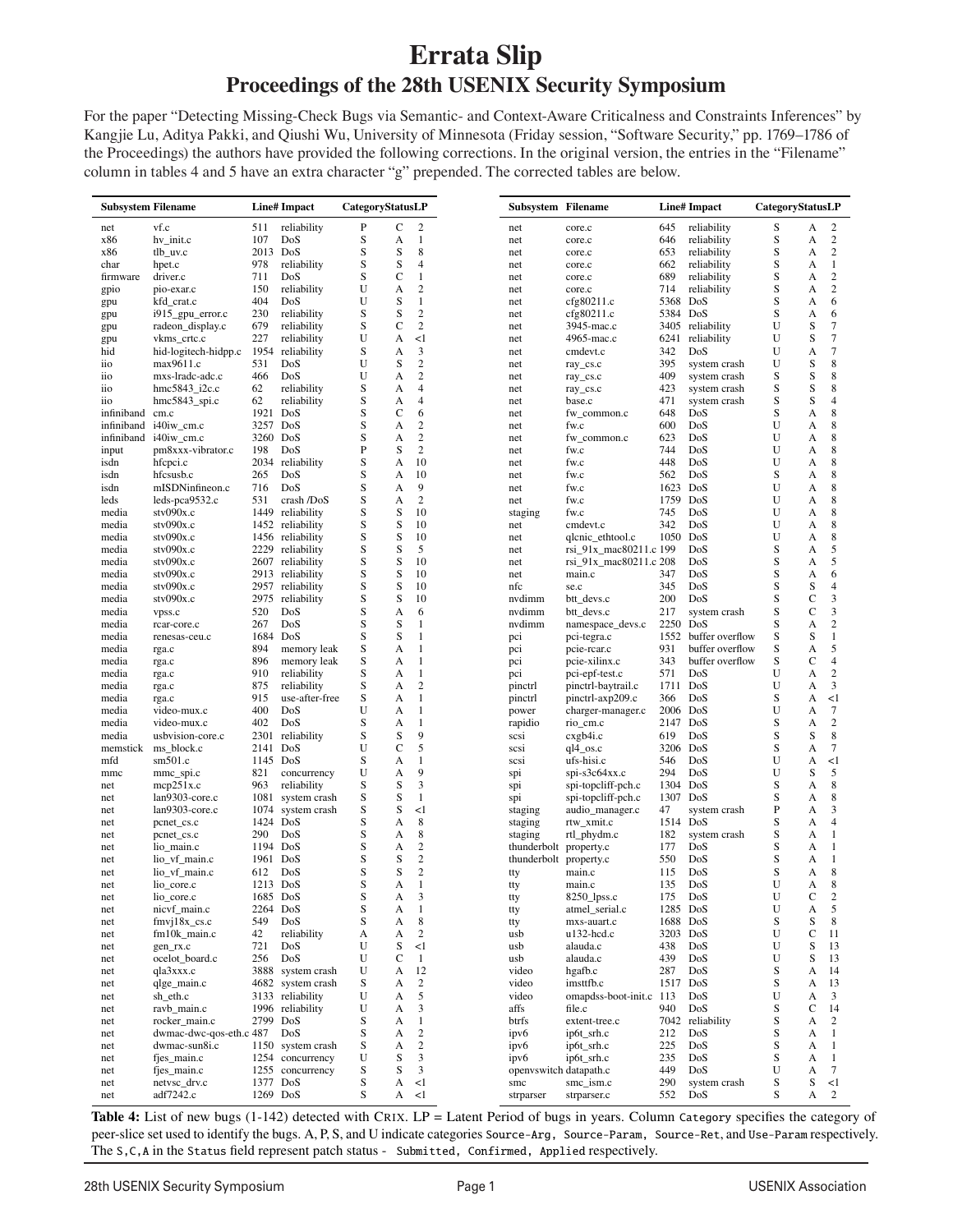## **Errata Slip Proceedings of the 28th USENIX Security Symposium**

For the paper "Detecting Missing-Check Bugs via Semantic- and Context-Aware Criticalness and Constraints Inferences" by Kangjie Lu, Aditya Pakki, and Qiushi Wu, University of Minnesota (Friday session, "Software Security," pp. 1769–1786 of the Proceedings) the authors have provided the following corrections. In the original version, the entries in the "Filename" column in tables 4 and 5 have an extra character "g" prepended. The corrected tables are below.

|            | <b>Subsystem Filename</b> |          | <b>Line#</b> Impact |   | CategoryStatusLP |                  |  |
|------------|---------------------------|----------|---------------------|---|------------------|------------------|--|
| net        | vf.c                      | 511      | reliability         | P | C                | $\overline{c}$   |  |
|            | hv_init.c                 | 107      | DoS                 | S | A                | 1                |  |
|            | tlb_uv.c                  | 2013 DoS |                     | S | S                | 8                |  |
|            | hpet.c                    | 978      | reliability         | S | S                | 4                |  |
|            | driver.c                  | 711      | DoS                 | S | C                | $\mathbf{1}$     |  |
| firmware   | pio-exar.c                | 150      | reliability         | U | A                | $\overline{c}$   |  |
|            | kfd_crat.c                | 404      | DoS                 | U | S                | $\mathbf{1}$     |  |
|            |                           | 230      |                     | S | S                | $\overline{c}$   |  |
|            | $i915$ _gpu_error.c       |          | reliability         |   |                  |                  |  |
|            | radeon_display.c          | 679      | reliability         | S | $\mathsf{C}$     | $\overline{2}$   |  |
|            | vkms_crtc.c               | 227      | reliability         | U | A                | <1               |  |
|            | hid-logitech-hidpp.c      | 1954     | reliability         | S | А                | 3                |  |
|            | max9611.c                 | 531      | DoS                 | U | S                | $\overline{2}$   |  |
|            | mxs-lradc-adc.c           | 466      | DoS                 | U | A                | $\overline{2}$   |  |
|            | hmc5843 i2c.c             | 62       | reliability         | S | A                | 4                |  |
|            | $hmc5843$ _spi.c          | 62       | reliability         | S | А                | 4                |  |
| infiniband | cm.c                      | 1921 DoS |                     | S | C                | 6                |  |
| infiniband | i40iw_cm.c                | 3257 DoS |                     | S | A                | $\overline{2}$   |  |
|            | infiniband i40iw_cm.c     | 3260 DoS |                     | S | А                | $\overline{c}$   |  |
|            | pm8xxx-vibrator.c         | 198      | DoS                 | P | S                | $\overline{c}$   |  |
|            |                           |          |                     | S | A                | 10               |  |
|            | hfcpci.c                  |          | 2034 reliability    |   |                  |                  |  |
|            | hfcsusb.c                 | 265      | DoS                 | S | А                | 10               |  |
|            | mISDNinfineon.c           | 716      | DoS                 | S | A                | 9                |  |
|            | leds- $pca9532.c$         | 531      | crash /DoS          | S | A                | $\overline{c}$   |  |
|            | stv090x.c                 | 1449     | reliability         | S | S                | 10               |  |
|            | stv090x.c                 | 1452     | reliability         | S | S                | 10               |  |
|            | stv090x.c                 |          | 1456 reliability    | S | S                | 10               |  |
|            | stv090x.c                 | 2229     | reliability         | S | S                | 5                |  |
|            | stv090x.c                 |          | 2607 reliability    | S | S                | 10               |  |
|            | stv090x.c                 |          | 2913 reliability    | S | S                | 10               |  |
|            | stv090x.c                 |          | 2957 reliability    | S | S                | 10               |  |
|            | stv090x.c                 |          | 2975 reliability    | S | S                | 10               |  |
|            |                           |          |                     |   |                  |                  |  |
|            | vpss.c                    | 520      | DoS                 | S | A                | 6                |  |
|            | rcar-core.c               | 267      | DoS                 | S | S                | 1                |  |
|            | renesas-ceu.c             | 1684 DoS |                     | S | S                | $\mathbf{1}$     |  |
|            | rga.c                     | 894      | memory leak         | S | А                | 1                |  |
|            | rga.c                     | 896      | memory leak         | S | A                | $\mathbf{1}$     |  |
|            | rga.c                     | 910      | reliability         | S | A                | 1                |  |
|            | rga.c                     | 875      | reliability         | S | А                | $\overline{2}$   |  |
|            | rga.c                     | 915      | use-after-free      | S | А                | 1                |  |
|            | video-mux.c               | 400      | DoS                 | U | A                | 1                |  |
|            | video-mux.c               | 402      | DoS                 | S | A                | 1                |  |
|            | usbvision-core.c          | 2301     | reliability         | S | S                | 9                |  |
|            |                           |          |                     |   | $\mathsf{C}$     | 5                |  |
| memstick   | ms_block.c                | 2141 DoS |                     | U |                  |                  |  |
|            | sm501.c                   | 1145 DoS |                     | S | A                | 1                |  |
|            | mmc_spi.c                 | 821      | concurrency         | U | A                | 9                |  |
|            | mcp251x.c                 | 963      | reliability         | S | S                | 3                |  |
|            | lan9303-core.c            | 1081     | system crash        | S | S                | 1                |  |
|            | lan9303-core.c            | 1074     | system crash        | S | S                | $\leq$           |  |
|            | pcnet_cs.c                | 1424 DoS |                     | S | А                | 8                |  |
|            | pcnet_cs.c                | 290      | DoS                 | S | А                | 8                |  |
|            | lio_main.c                | 1194 DoS |                     | S | A                | $\overline{c}$   |  |
|            | lio_vf_main.c             | 1961 DoS |                     | S | S                | $\overline{c}$   |  |
|            | lio_vf_main.c             | 612      | DoS                 | S | S                | $\overline{c}$   |  |
|            |                           |          |                     | S |                  | $\mathbf{1}$     |  |
|            | lio core.c                | 1213 DoS |                     |   | А                |                  |  |
|            | lio_core.c                |          | 1685 DoS            | S | А                | 3                |  |
|            | nicvf_main.c              |          | 2264 DoS            | S | A                | 1                |  |
|            | $fmvj18x_c$ cs.c          | 549      | DoS                 | S | A                | 8                |  |
|            | fm10k_main.c              | 42       | reliability         | А | A                | $\boldsymbol{2}$ |  |
|            | gen_rx.c                  | 721      | DoS                 | U | S                | <1               |  |
|            | ocelot_board.c            | 256      | DoS                 | U | C                | $\mathbf{1}$     |  |
|            | qla3xxx.c                 |          | 3888 system crash   | U | A                | 12               |  |
|            |                           |          |                     |   |                  | $\sqrt{2}$       |  |
|            | qlge_main.c               |          | 4682 system crash   | S | А                |                  |  |
|            | sh_eth.c                  |          | 3133 reliability    | U | A                | 5                |  |
|            | ravb_main.c               |          | 1996 reliability    | U | А                | 3                |  |
|            | rocker main.c             | 2799 DoS |                     | S | А                | $\mathbf{1}$     |  |
|            | dwmac-dwc-qos-eth.c 487   |          | DoS                 | S | А                | $\sqrt{2}$       |  |
|            | dwmac-sun8i.c             |          | 1150 system crash   | S | A                | $\overline{c}$   |  |
|            | fjes_main.c               |          | 1254 concurrency    | U | S                | 3                |  |
|            |                           |          |                     |   |                  |                  |  |
|            | fjes_main.c               |          | 1255 concurrency    | S | S                | 3                |  |
|            | netvsc_drv.c              |          | 1377 DoS            | S | A                | $\leq$ 1         |  |
|            | adf7242.c                 |          | 1269 DoS            | S | A                | $\leq$ 1         |  |

Table 4: List of new bugs (1-142) detected with CRIX. LP = Latent Period of bugs in years. Column Category specifies the category of peer-slice set used to identify the bugs. A, P, S, and U indicate categories Source-Arg, Source-Param, Source-Ret, and Use-Param respectively. The S, C, A in the Status field represent patch status - Submitted, Confirmed, Applied respectively.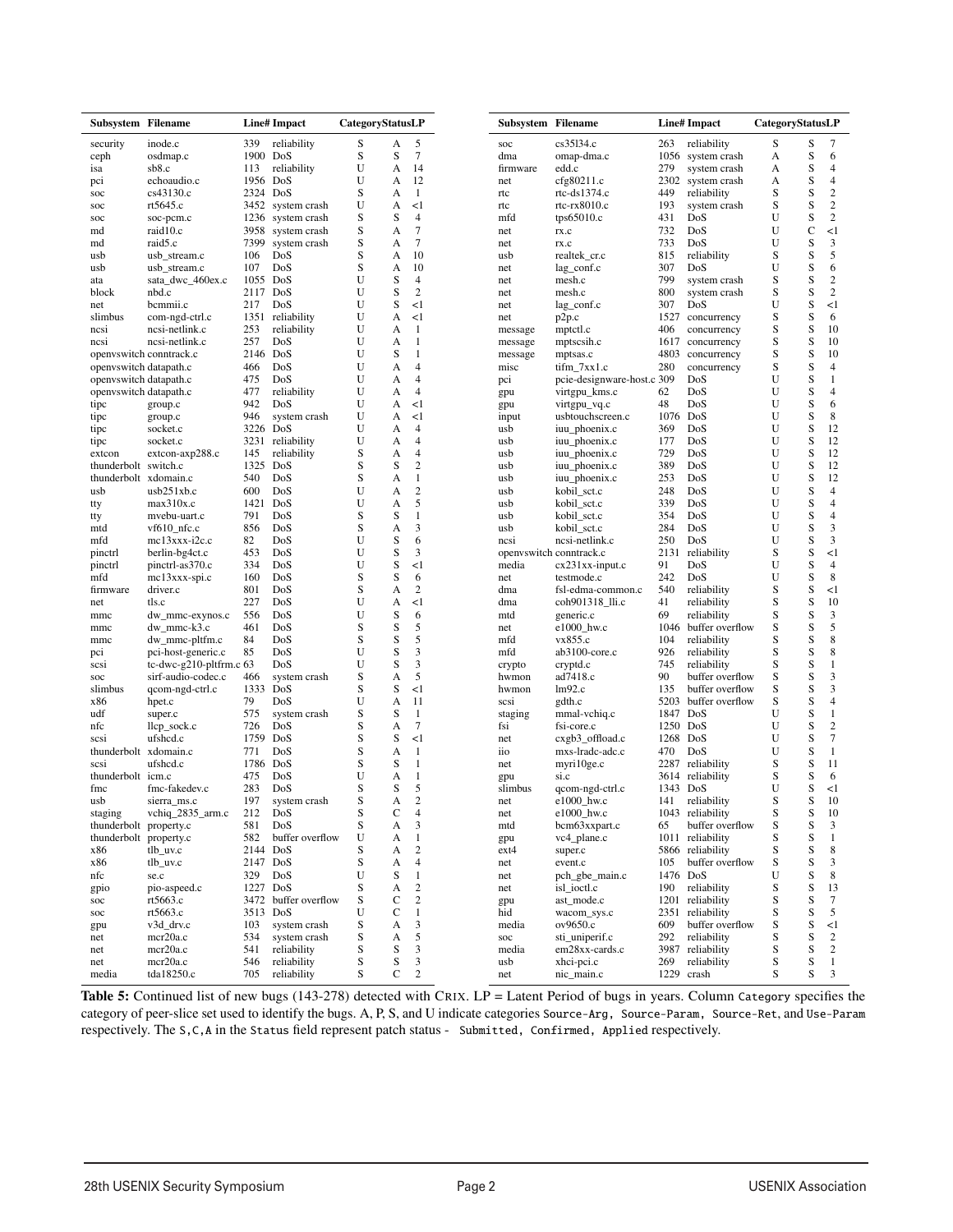| Subsystem Filename      |                         |          | <b>Line#</b> Impact | CategoryStatusLP |             |                  |
|-------------------------|-------------------------|----------|---------------------|------------------|-------------|------------------|
| security                | inode.c                 | 339      | reliability         | S                | A           | 5                |
| ceph                    | osdmap.c                | 1900     | DoS                 | S                | S           | 7                |
| isa                     | sb8.c                   | 113      | reliability         | U                | A           | 14               |
| pci                     | echoaudio.c             | 1956     | DoS                 | U                | A           | 12               |
| soc                     | cs43130.c               | 2324     | DoS                 | S                | A           | -1               |
| soc                     | rt5645.c                | 3452     | system crash        | U                | A           | <1               |
| soc                     | soc-pcm.c               | 1236     | system crash        | S                | S           | 4                |
| md                      | raid10.c                | 3958     |                     | S                | A           | $\overline{7}$   |
|                         |                         |          | system crash        |                  |             | $\tau$           |
| md                      | raid5.c                 | 7399     | system crash        | S                | A           |                  |
| usb                     | usb_stream.c            | 106      | DoS                 | S                | A           | 10               |
| usb                     | usb_stream.c            | 107      | DoS                 | S                | A           | 10               |
| ata                     | sata_dwc_460ex.c        | 1055 DoS |                     | U                | S           | $\overline{4}$   |
| block                   | nbd.c                   | 2117     | DoS                 | U                | S           | $\overline{2}$   |
| net                     | bcmmii.c                | 217      | DoS                 | U                | S           | <1               |
| slimbus                 | com-ngd-ctrl.c          | 1351     | reliability         | U                | A           | <1               |
| ncsi                    | ncsi-netlink.c          | 253      | reliability         | U                | А           | 1                |
| ncsi                    | ncsi-netlink.c          | 257      | DoS                 | U                | A           | 1                |
|                         |                         | 2146     | DoS                 | U                | S           | 1                |
| openvswitch conntrack.c |                         |          |                     |                  |             |                  |
| openvswitch datapath.c  |                         | 466      | DoS                 | U                | А           | 4                |
| openvswitch datapath.c  |                         | 475      | DoS                 | U                | A           | 4                |
| openvswitch datapath.c  |                         | 477      | reliability         | U                | A           | $\overline{4}$   |
| tipc                    | group.c                 | 942      | DoS                 | U                | A           | <1               |
| tipc                    | group.c                 | 946      | system crash        | U                | A           | <1               |
| tipc                    | socket.c                | 3226     | DoS                 | U                | A           | 4                |
| tipc                    | socket.c                | 3231     | reliability         | U                | А           | 4                |
| extcon                  | extcon-axp288.c         | 145      | reliability         | S                | A           | $\overline{4}$   |
| thunderbolt             | switch.c                | 1325     | DoS                 | S                | S           | $\overline{2}$   |
| thunderbolt xdomain.c   |                         | 540      | DoS                 | S                | А           | 1                |
|                         |                         |          |                     |                  |             |                  |
| usb                     | usb251xb.c              | 600      | DoS                 | U                | A           | $\overline{2}$   |
| tty                     | max310x.c               | 1421     | DoS                 | U                | A           | 5                |
| tty                     | mvebu-uart.c            | 791      | DoS                 | S                | S           | 1                |
| mtd                     | $vf610$ _nfc.c          | 856      | DoS                 | S                | A           | 3                |
| mfd                     | $mc13$ xxx-i2c.c        | 82       | DoS                 | U                | S           | 6                |
| pinctrl                 | berlin-bg4ct.c          | 453      | DoS                 | U                | S           | 3                |
| pinctrl                 | pinctrl-as370.c         | 334      | DoS                 | U                | S           | <1               |
| mfd                     | mc13xxx-spi.c           | 160      | DoS                 | S                | S           | 6                |
| firmware                | driver.c                | 801      | DoS                 | S                | A           | $\overline{2}$   |
| net                     | tls.c                   | 227      | DoS                 | U                | A           | <1               |
|                         |                         |          |                     |                  |             |                  |
| mmc                     | dw_mmc-exynos.c         | 556      | DoS                 | U                | S           | 6                |
| mmc                     | dw_mmc-k3.c             | 461      | DoS                 | S                | S           | 5                |
| mmc                     | dw_mmc-pltfm.c          | 84       | DoS                 | S                | S           | 5                |
| pci                     | pci-host-generic.c      | 85       | DoS                 | U                | S           | 3                |
| scsi                    | tc-dwc-g210-pltfrm.c 63 |          | DoS                 | U                | S           | 3                |
| soc                     | sirf-audio-codec.c      | 466      | system crash        | S                | A           | 5                |
| slimbus                 | qcom-ngd-ctrl.c         | 1333     | DoS                 | S                | S           | <1               |
| x86                     | hpet.c                  | 79       | DoS                 | U                | A           | 11               |
| udf                     |                         |          |                     | S                | S           | 1                |
|                         | super.c                 | 575      | system crash        |                  |             |                  |
| nfc                     | llcp_sock.c             | 726      | DoS                 | S                | A           | $\overline{7}$   |
| scsi                    | ufshed.c                | 1759     | DoS                 | S                | S           | <1               |
| thunderbolt             | xdomain.c               | 771      | DoS                 | S                | A           | 1                |
| scsi                    | ufshcd.c                | 1786     | DoS                 | S                | S           | 1                |
| thunderbolt icm.c       |                         | 475      | DoS                 | U                | A           | 1                |
| fmc                     | fmc-fakedev.c           | 283      | DoS                 | S                | S           | 5                |
| usb                     | sierra_ms.c             | 197      | system crash        | S                | A           | $\overline{c}$   |
| staging                 | vchiq_2835_arm.c        | 212      | DoS                 | S                | C           | $\overline{4}$   |
|                         |                         |          |                     |                  |             |                  |
| thunderbolt property.c  |                         | 581      | DoS                 | S                | A           | 3                |
| thunderbolt property.c  |                         | 582      | buffer overflow     | U                | A           | 1                |
| x86                     | tlb_uv.c                | 2144 DoS |                     | S                | A           | $\overline{c}$   |
| x86                     | tlb_uv.c                | 2147     | DoS                 | S                | A           | 4                |
| nfc                     | se.c                    | 329      | DoS                 | U                | S           | 1                |
| gpio                    | pio-aspeed.c            | 1227     | DoS                 | S                | A           | $\overline{c}$   |
|                         | rt5663.c                | 3472     | buffer overflow     | S                | C           | $\mathfrak{2}$   |
| soc                     |                         |          |                     |                  |             |                  |
| soc                     | rt5663.c                | 3513     | DoS                 | U                | C           | 1                |
| gpu                     | v3d_drv.c               | 103      | system crash        | S                | A           | 3                |
| net                     | mcr20a.c                | 534      | system crash        | S                | A           | 5                |
| net                     | mcr20a.c                | 541      | reliability         | S                | S           | 3                |
| net                     | mcr20a.c                | 546      | reliability         | S                | S           | 3                |
|                         |                         |          |                     |                  |             |                  |
| media                   | tda18250.c              | 705      | reliability         | S                | $\mathbf C$ | $\boldsymbol{2}$ |

Table 5: Continued list of new bugs (143-278) detected with CRIX. LP = Latent Period of bugs in years. Column Category specifies the category of peer-slice set used to identify the bugs. A, P, S, and U indicate categories Source-Arg, Source-Param, Source-Ret, and Use-Param respectively. The S,C,A in the Status field represent patch status - Submitted, Confirmed, Applied respectively.